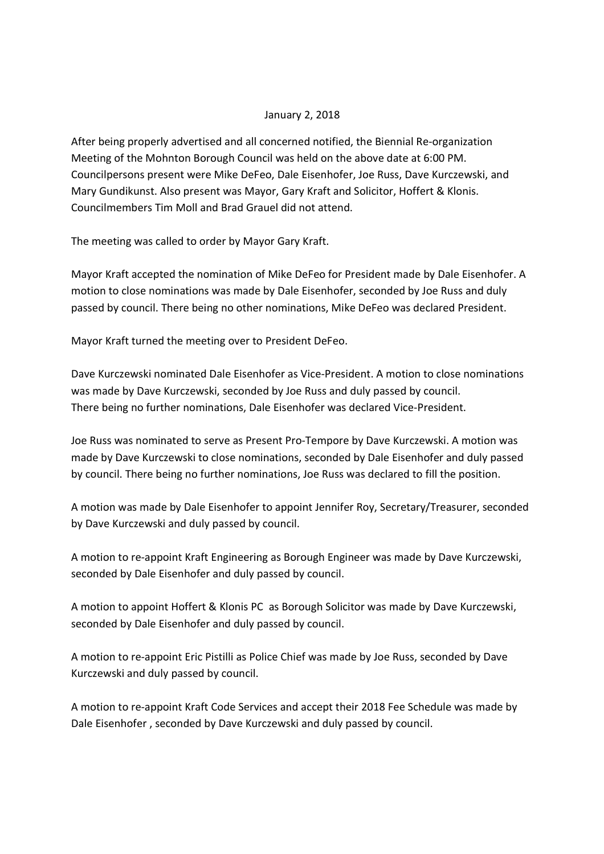## January 2, 2018

After being properly advertised and all concerned notified, the Biennial Re-organization Meeting of the Mohnton Borough Council was held on the above date at 6:00 PM. Councilpersons present were Mike DeFeo, Dale Eisenhofer, Joe Russ, Dave Kurczewski, and Mary Gundikunst. Also present was Mayor, Gary Kraft and Solicitor, Hoffert & Klonis. Councilmembers Tim Moll and Brad Grauel did not attend.

The meeting was called to order by Mayor Gary Kraft.

Mayor Kraft accepted the nomination of Mike DeFeo for President made by Dale Eisenhofer. A motion to close nominations was made by Dale Eisenhofer, seconded by Joe Russ and duly passed by council. There being no other nominations, Mike DeFeo was declared President.

Mayor Kraft turned the meeting over to President DeFeo.

Dave Kurczewski nominated Dale Eisenhofer as Vice-President. A motion to close nominations was made by Dave Kurczewski, seconded by Joe Russ and duly passed by council. There being no further nominations, Dale Eisenhofer was declared Vice-President.

Joe Russ was nominated to serve as Present Pro-Tempore by Dave Kurczewski. A motion was made by Dave Kurczewski to close nominations, seconded by Dale Eisenhofer and duly passed by council. There being no further nominations, Joe Russ was declared to fill the position.

A motion was made by Dale Eisenhofer to appoint Jennifer Roy, Secretary/Treasurer, seconded by Dave Kurczewski and duly passed by council.

A motion to re-appoint Kraft Engineering as Borough Engineer was made by Dave Kurczewski, seconded by Dale Eisenhofer and duly passed by council.

A motion to appoint Hoffert & Klonis PC as Borough Solicitor was made by Dave Kurczewski, seconded by Dale Eisenhofer and duly passed by council.

A motion to re-appoint Eric Pistilli as Police Chief was made by Joe Russ, seconded by Dave Kurczewski and duly passed by council.

A motion to re-appoint Kraft Code Services and accept their 2018 Fee Schedule was made by Dale Eisenhofer , seconded by Dave Kurczewski and duly passed by council.